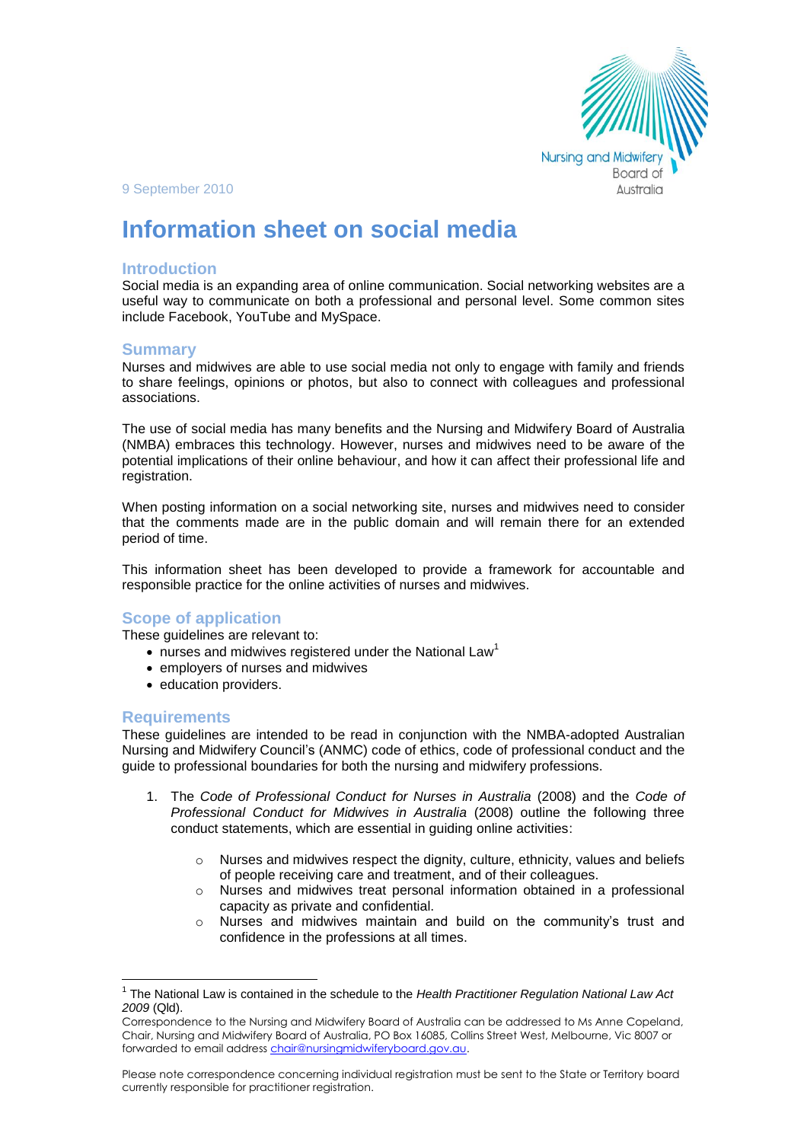

#### 9 September 2010

# **Information sheet on social media**

#### **Introduction**

Social media is an expanding area of online communication. Social networking websites are a useful way to communicate on both a professional and personal level. Some common sites include Facebook, YouTube and MySpace.

#### **Summary**

Nurses and midwives are able to use social media not only to engage with family and friends to share feelings, opinions or photos, but also to connect with colleagues and professional associations.

The use of social media has many benefits and the Nursing and Midwifery Board of Australia (NMBA) embraces this technology. However, nurses and midwives need to be aware of the potential implications of their online behaviour, and how it can affect their professional life and registration.

When posting information on a social networking site, nurses and midwives need to consider that the comments made are in the public domain and will remain there for an extended period of time.

This information sheet has been developed to provide a framework for accountable and responsible practice for the online activities of nurses and midwives.

## **Scope of application**

These guidelines are relevant to:

- $\bullet$  nurses and midwives registered under the National Law<sup>1</sup>
- employers of nurses and midwives
- education providers.

#### **Requirements**

 $\overline{a}$ 

These guidelines are intended to be read in conjunction with the NMBA-adopted Australian Nursing and Midwifery Council's (ANMC) code of ethics, code of professional conduct and the guide to professional boundaries for both the nursing and midwifery professions.

- 1. The *Code of Professional Conduct for Nurses in Australia* (2008) and the *Code of Professional Conduct for Midwives in Australia* (2008) outline the following three conduct statements, which are essential in guiding online activities:
	- $\circ$  Nurses and midwives respect the dignity, culture, ethnicity, values and beliefs of people receiving care and treatment, and of their colleagues.
	- $\circ$  Nurses and midwives treat personal information obtained in a professional capacity as private and confidential.
	- $\circ$  Nurses and midwives maintain and build on the community's trust and confidence in the professions at all times.

Please note correspondence concerning individual registration must be sent to the State or Territory board currently responsible for practitioner registration.

<sup>1</sup> The National Law is contained in the schedule to the *Health Practitioner Regulation National Law Act 2009* (Qld).

Correspondence to the Nursing and Midwifery Board of Australia can be addressed to Ms Anne Copeland, Chair, Nursing and Midwifery Board of Australia, PO Box 16085, Collins Street West, Melbourne, Vic 8007 or forwarded to email address chair@nursingmidwiferyboard.gov.au.